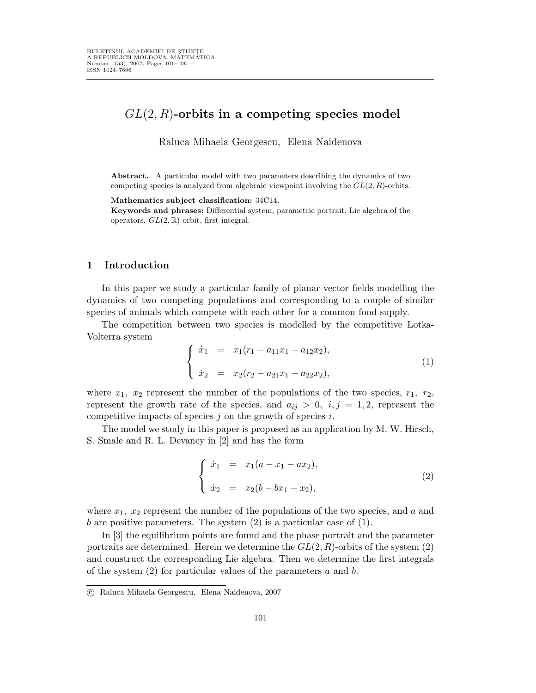# $GL(2, R)$ -orbits in a competing species model

Raluca Mihaela Georgescu, Elena Naidenova

Abstract. A particular model with two parameters describing the dynamics of two competing species is analyzed from algebraic viewpoint involving the  $GL(2, R)$ -orbits.

Mathematics subject classification: 34C14.

Keywords and phrases: Differential system, parametric portrait, Lie algebra of the operators,  $GL(2,\mathbb{R})$ -orbit, first integral.

#### 1 Introduction

In this paper we study a particular family of planar vector fields modelling the dynamics of two competing populations and corresponding to a couple of similar species of animals which compete with each other for a common food supply.

The competition between two species is modelled by the competitive Lotka-Volterra system

$$
\begin{cases}\n\dot{x}_1 = x_1(r_1 - a_{11}x_1 - a_{12}x_2), \\
\dot{x}_2 = x_2(r_2 - a_{21}x_1 - a_{22}x_2),\n\end{cases}
$$
\n(1)

where  $x_1$ ,  $x_2$  represent the number of the populations of the two species,  $r_1$ ,  $r_2$ , represent the growth rate of the species, and  $a_{ij} > 0$ ,  $i, j = 1, 2$ , represent the competitive impacts of species  $j$  on the growth of species  $i$ .

The model we study in this paper is proposed as an application by M. W. Hirsch, S. Smale and R. L. Devaney in [2] and has the form

$$
\begin{cases}\n\dot{x}_1 = x_1(a - x_1 - ax_2), \\
\dot{x}_2 = x_2(b - bx_1 - x_2),\n\end{cases}
$$
\n(2)

where  $x_1$ ,  $x_2$  represent the number of the populations of the two species, and a and b are positive parameters. The system  $(2)$  is a particular case of  $(1)$ .

In [3] the equilibrium points are found and the phase portrait and the parameter portraits are determined. Herein we determine the  $GL(2, R)$ -orbits of the system (2) and construct the corresponding Lie algebra. Then we determine the first integrals of the system  $(2)$  for particular values of the parameters a and b.

c Raluca Mihaela Georgescu, Elena Naidenova, 2007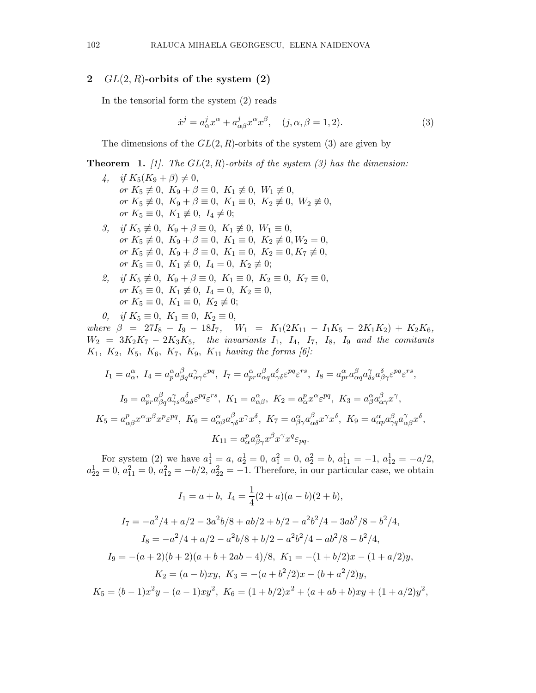### 2  $GL(2, R)$ -orbits of the system  $(2)$

In the tensorial form the system (2) reads

$$
\dot{x}^j = a^j_\alpha x^\alpha + a^j_{\alpha\beta} x^\alpha x^\beta, \quad (j, \alpha, \beta = 1, 2). \tag{3}
$$

The dimensions of the  $GL(2, R)$ -orbits of the system (3) are given by

**Theorem 1.** [1]. The  $GL(2, R)$ -orbits of the system (3) has the dimension:

- 4, if  $K_5(K_9 + \beta) \neq 0$ , or  $K_5 \not\equiv 0$ ,  $K_9 + \beta \equiv 0$ ,  $K_1 \not\equiv 0$ ,  $W_1 \not\equiv 0$ , or  $K_5 \neq 0$ ,  $K_9 + \beta \equiv 0$ ,  $K_1 \equiv 0$ ,  $K_2 \neq 0$ ,  $W_2 \neq 0$ , or  $K_5 \equiv 0$ ,  $K_1 \not\equiv 0$ ,  $I_4 \not= 0$ ; 3, if  $K_5 \neq 0$ ,  $K_9 + \beta \equiv 0$ ,  $K_1 \neq 0$ ,  $W_1 \equiv 0$ ,
- or  $K_5 \not\equiv 0$ ,  $K_9 + \beta \equiv 0$ ,  $K_1 \equiv 0$ ,  $K_2 \not\equiv 0$ ,  $W_2 = 0$ , or  $K_5 \not\equiv 0$ ,  $K_9 + \beta \equiv 0$ ,  $K_1 \equiv 0$ ,  $K_2 \equiv 0, K_7 \not\equiv 0$ , or  $K_5 \equiv 0$ ,  $K_1 \not\equiv 0$ ,  $I_4 = 0$ ,  $K_2 \not\equiv 0$ ;
- 2, if  $K_5 \neq 0$ ,  $K_9 + \beta \equiv 0$ ,  $K_1 \equiv 0$ ,  $K_2 \equiv 0$ ,  $K_7 \equiv 0$ , or  $K_5 \equiv 0$ ,  $K_1 \not\equiv 0$ ,  $I_4 = 0$ ,  $K_2 \equiv 0$ , or  $K_5 \equiv 0$ ,  $K_1 \equiv 0$ ,  $K_2 \not\equiv 0$ ;

0, if  $K_5 \equiv 0, K_1 \equiv 0, K_2 \equiv 0,$ where  $\beta = 27I_8 - I_9 - 18I_7$ ,  $W_1 = K_1(2K_{11} - I_1K_5 - 2K_1K_2) + K_2K_6$ ,  $W_2 = 3K_2K_7 - 2K_3K_5$ , the invariants  $I_1$ ,  $I_4$ ,  $I_7$ ,  $I_8$ ,  $I_9$  and the comitants  $K_1, K_2, K_5, K_6, K_7, K_9, K_{11}$  having the forms [6]:

$$
I_1 = a_{\alpha}^{\alpha}, I_4 = a_p^{\alpha} a_{\beta q}^{\beta} a_{\alpha \gamma}^{\gamma} \varepsilon^{pq}, I_7 = a_{pr}^{\alpha} a_{\alpha q}^{\beta} a_{\gamma \delta}^{\delta} \varepsilon^{pq} \varepsilon^{rs}, I_8 = a_{pr}^{\alpha} a_{\alpha q}^{\beta} a_{\delta s}^{\gamma} a_{\beta \gamma}^{\delta} \varepsilon^{pq} \varepsilon^{rs},
$$
  
\n
$$
I_9 = a_{pr}^{\alpha} a_{\beta q}^{\beta} a_{\gamma s}^{\gamma} a_{\alpha \delta}^{\delta} \varepsilon^{pq} \varepsilon^{rs}, K_1 = a_{\alpha \beta}^{\alpha}, K_2 = a_{\alpha}^p x^{\alpha} \varepsilon^{pq}, K_3 = a_{\beta}^{\alpha} a_{\alpha \gamma}^{\beta} x^{\gamma},
$$
  
\n
$$
K_5 = a_{\alpha \beta}^p x^{\alpha} x^{\beta} x^p \varepsilon^{pq}, K_6 = a_{\alpha \beta}^{\alpha} a_{\gamma \delta}^{\beta} x^{\gamma} x^{\delta}, K_7 = a_{\beta \gamma}^{\alpha} a_{\alpha \delta}^{\beta} x^{\gamma} x^{\delta}, K_9 = a_{\alpha p}^{\alpha} a_{\gamma q}^{\beta} a_{\alpha \beta}^{\gamma} x^{\delta},
$$
  
\n
$$
K_{11} = a_{\alpha}^p a_{\beta \gamma}^{\alpha} x^{\beta} x^{\gamma} x^q \varepsilon_{pq}.
$$

For system (2) we have  $a_1^1 = a, a_2^1 = 0, a_1^2 = 0, a_2^2 = b, a_{11}^1 = -1, a_{12}^1 = -a/2,$  $a_{22}^1 = 0, a_{11}^2 = 0, a_{12}^2 = -b/2, a_{22}^2 = -1.$  Therefore, in our particular case, we obtain

$$
I_1 = a + b, I_4 = \frac{1}{4}(2+a)(a-b)(2+b),
$$
  
\n
$$
I_7 = -a^2/4 + a/2 - 3a^2b/8 + ab/2 + b/2 - a^2b^2/4 - 3ab^2/8 - b^2/4,
$$
  
\n
$$
I_8 = -a^2/4 + a/2 - a^2b/8 + b/2 - a^2b^2/4 - ab^2/8 - b^2/4,
$$
  
\n
$$
I_9 = -(a+2)(b+2)(a+b+2ab-4)/8, K_1 = -(1+b/2)x - (1+a/2)y,
$$
  
\n
$$
K_2 = (a-b)xy, K_3 = -(a+b^2/2)x - (b+a^2/2)y,
$$
  
\n
$$
K_5 = (b-1)x^2y - (a-1)xy^2, K_6 = (1+b/2)x^2 + (a+ab+b)xy + (1+a/2)y^2,
$$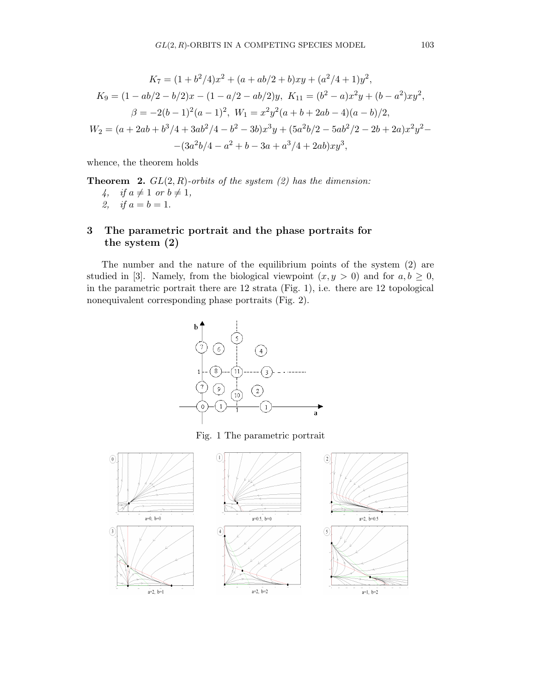$$
K_7 = (1 + b^2/4)x^2 + (a + ab/2 + b)xy + (a^2/4 + 1)y^2,
$$
  
\n
$$
K_9 = (1 - ab/2 - b/2)x - (1 - a/2 - ab/2)y, \quad K_{11} = (b^2 - a)x^2y + (b - a^2)xy^2,
$$
  
\n
$$
\beta = -2(b - 1)^2(a - 1)^2, \quad W_1 = x^2y^2(a + b + 2ab - 4)(a - b)/2,
$$
  
\n
$$
W_2 = (a + 2ab + b^3/4 + 3ab^2/4 - b^2 - 3b)x^3y + (5a^2b/2 - 5ab^2/2 - 2b + 2a)x^2y^2 -
$$
  
\n
$$
-(3a^2b/4 - a^2 + b - 3a + a^3/4 + 2ab)xy^3,
$$

whence, the theorem holds

**Theorem 2.**  $GL(2, R)$ -orbits of the system  $(2)$  has the dimension: 4, if  $a \neq 1$  or  $b \neq 1$ , 2, if  $a = b = 1$ .

## 3 The parametric portrait and the phase portraits for the system (2)

The number and the nature of the equilibrium points of the system (2) are studied in [3]. Namely, from the biological viewpoint  $(x, y > 0)$  and for  $a, b \ge 0$ , in the parametric portrait there are 12 strata (Fig. 1), i.e. there are 12 topological nonequivalent corresponding phase portraits (Fig. 2).

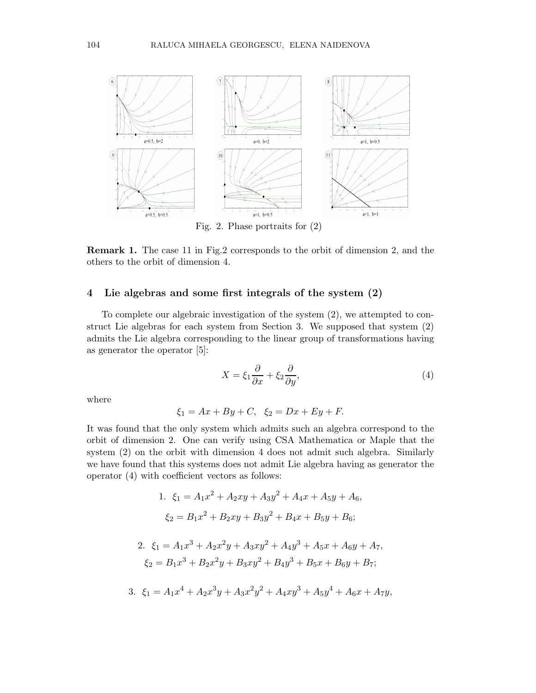

Fig. 2. Phase portraits for (2)

Remark 1. The case 11 in Fig.2 corresponds to the orbit of dimension 2, and the others to the orbit of dimension 4.

### 4 Lie algebras and some first integrals of the system (2)

To complete our algebraic investigation of the system (2), we attempted to construct Lie algebras for each system from Section 3. We supposed that system (2) admits the Lie algebra corresponding to the linear group of transformations having as generator the operator [5]:

$$
X = \xi_1 \frac{\partial}{\partial x} + \xi_2 \frac{\partial}{\partial y},\tag{4}
$$

where

$$
\xi_1 = Ax + By + C, \ \xi_2 = Dx + Ey + F.
$$

It was found that the only system which admits such an algebra correspond to the orbit of dimension 2. One can verify using CSA Mathematica or Maple that the system (2) on the orbit with dimension 4 does not admit such algebra. Similarly we have found that this systems does not admit Lie algebra having as generator the operator (4) with coefficient vectors as follows:

1. 
$$
\xi_1 = A_1 x^2 + A_2 xy + A_3 y^2 + A_4 x + A_5 y + A_6,
$$
  
\n $\xi_2 = B_1 x^2 + B_2 xy + B_3 y^2 + B_4 x + B_5 y + B_6;$ 

2. 
$$
\xi_1 = A_1 x^3 + A_2 x^2 y + A_3 x y^2 + A_4 y^3 + A_5 x + A_6 y + A_7
$$
,  
\n $\xi_2 = B_1 x^3 + B_2 x^2 y + B_3 x y^2 + B_4 y^3 + B_5 x + B_6 y + B_7$ ;

3. 
$$
\xi_1 = A_1 x^4 + A_2 x^3 y + A_3 x^2 y^2 + A_4 x y^3 + A_5 y^4 + A_6 x + A_7 y,
$$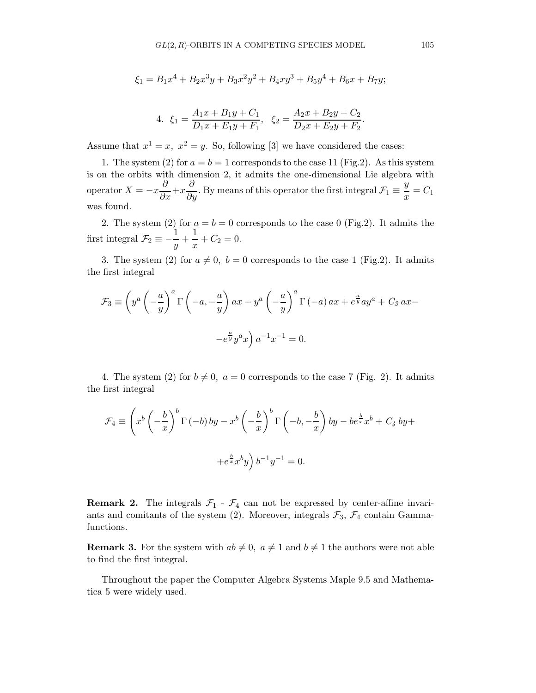$$
\xi_1 = B_1 x^4 + B_2 x^3 y + B_3 x^2 y^2 + B_4 x y^3 + B_5 y^4 + B_6 x + B_7 y;
$$

4. 
$$
\xi_1 = \frac{A_1x + B_1y + C_1}{D_1x + E_1y + F_1}
$$
,  $\xi_2 = \frac{A_2x + B_2y + C_2}{D_2x + E_2y + F_2}$ .

Assume that  $x^1 = x$ ,  $x^2 = y$ . So, following [3] we have considered the cases:

1. The system (2) for  $a = b = 1$  corresponds to the case 11 (Fig.2). As this system is on the orbits with dimension 2, it admits the one-dimensional Lie algebra with operator  $X = -x\frac{\partial}{\partial x} + x\frac{\partial}{\partial y}$ . By means of this operator the first integral  $\mathcal{F}_1 \equiv \frac{y}{x}$  $\frac{b}{x} = C_1$ was found.

2. The system (2) for  $a = b = 0$  corresponds to the case 0 (Fig.2). It admits the first integral  $\mathcal{F}_2 \equiv -\frac{1}{\sqrt{2}}$  $\frac{1}{y} + \frac{1}{x}$  $\frac{1}{x} + C_2 = 0.$ 

3. The system (2) for  $a \neq 0$ ,  $b = 0$  corresponds to the case 1 (Fig.2). It admits the first integral

$$
\mathcal{F}_3 \equiv \left( y^a \left( -\frac{a}{y} \right)^a \Gamma \left( -a, -\frac{a}{y} \right) a x - y^a \left( -\frac{a}{y} \right)^a \Gamma \left( -a \right) a x + e^{\frac{a}{y}} a y^a + C_3 a x -
$$

$$
-e^{\frac{a}{y}} y^a x \right) a^{-1} x^{-1} = 0.
$$

4. The system (2) for  $b \neq 0$ ,  $a = 0$  corresponds to the case 7 (Fig. 2). It admits the first integral

$$
\mathcal{F}_4 \equiv \left( x^b \left( -\frac{b}{x} \right)^b \Gamma(-b) \, by - x^b \left( -\frac{b}{x} \right)^b \Gamma\left( -b, -\frac{b}{x} \right) by -be^{\frac{b}{x}} x^b + C_4 \, by +\n+ e^{\frac{b}{x}} x^b y \right) b^{-1} y^{-1} = 0.
$$

**Remark 2.** The integrals  $\mathcal{F}_1$  -  $\mathcal{F}_4$  can not be expressed by center-affine invariants and comitants of the system (2). Moreover, integrals  $\mathcal{F}_3$ ,  $\mathcal{F}_4$  contain Gammafunctions.

**Remark 3.** For the system with  $ab \neq 0$ ,  $a \neq 1$  and  $b \neq 1$  the authors were not able to find the first integral.

Throughout the paper the Computer Algebra Systems Maple 9.5 and Mathematica 5 were widely used.